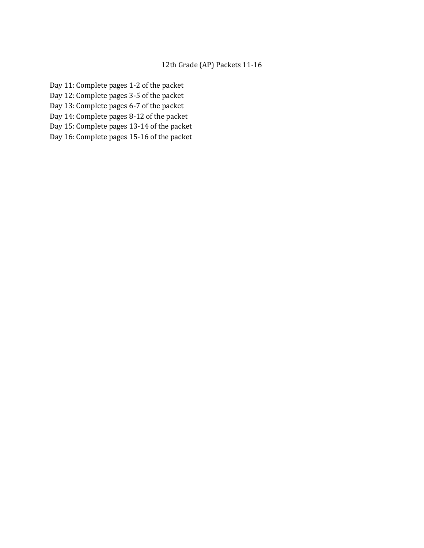## 12th Grade (AP) Packets 11-16

- Day 11: Complete pages 1-2 of the packet
- Day 12: Complete pages 3-5 of the packet
- Day 13: Complete pages 6-7 of the packet
- Day 14: Complete pages 8-12 of the packet
- Day 15: Complete pages 13-14 of the packet
- Day 16: Complete pages 15-16 of the packet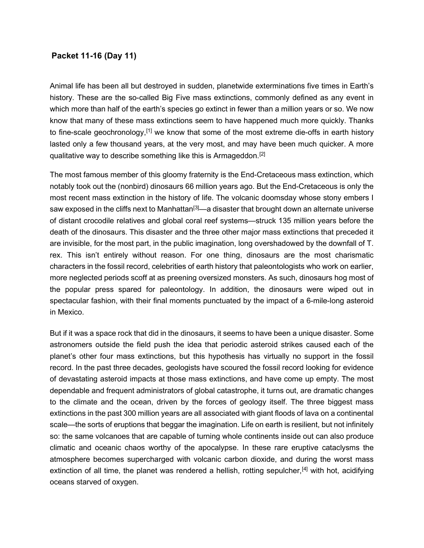# Packet 11-16 (Day 11)

Animal life has been all but destroyed in sudden, planetwide exterminations five times in Earth's history. These are the so-called Big Five mass extinctions, commonly defined as any event in which more than half of the earth's species go extinct in fewer than a million years or so. We now know that many of these mass extinctions seem to have happened much more quickly. Thanks to fine-scale geochronology, $[1]$  we know that some of the most extreme die-offs in earth history lasted only a few thousand years, at the very most, and may have been much quicker. A more qualitative way to describe something like this is Armageddon.[2]

The most famous member of this gloomy fraternity is the End-Cretaceous mass extinction, which notably took out the (nonbird) dinosaurs 66 million years ago. But the End-Cretaceous is only the most recent mass extinction in the history of life. The volcanic doomsday whose stony embers I saw exposed in the cliffs next to Manhattan<sup>[3]</sup>—a disaster that brought down an alternate universe of distant crocodile relatives and global coral reef systems—struck 135 million years before the death of the dinosaurs. This disaster and the three other major mass extinctions that preceded it are invisible, for the most part, in the public imagination, long overshadowed by the downfall of T. rex. This isn't entirely without reason. For one thing, dinosaurs are the most charismatic characters in the fossil record, celebrities of earth history that paleontologists who work on earlier, more neglected periods scoff at as preening oversized monsters. As such, dinosaurs hog most of the popular press spared for paleontology. In addition, the dinosaurs were wiped out in spectacular fashion, with their final moments punctuated by the impact of a 6-mile-long asteroid in Mexico.

But if it was a space rock that did in the dinosaurs, it seems to have been a unique disaster. Some astronomers outside the field push the idea that periodic asteroid strikes caused each of the planet's other four mass extinctions, but this hypothesis has virtually no support in the fossil record. In the past three decades, geologists have scoured the fossil record looking for evidence of devastating asteroid impacts at those mass extinctions, and have come up empty. The most dependable and frequent administrators of global catastrophe, it turns out, are dramatic changes to the climate and the ocean, driven by the forces of geology itself. The three biggest mass extinctions in the past 300 million years are all associated with giant floods of lava on a continental scale—the sorts of eruptions that beggar the imagination. Life on earth is resilient, but not infinitely so: the same volcanoes that are capable of turning whole continents inside out can also produce climatic and oceanic chaos worthy of the apocalypse. In these rare eruptive cataclysms the atmosphere becomes supercharged with volcanic carbon dioxide, and during the worst mass extinction of all time, the planet was rendered a hellish, rotting sepulcher,<sup>[4]</sup> with hot, acidifying oceans starved of oxygen.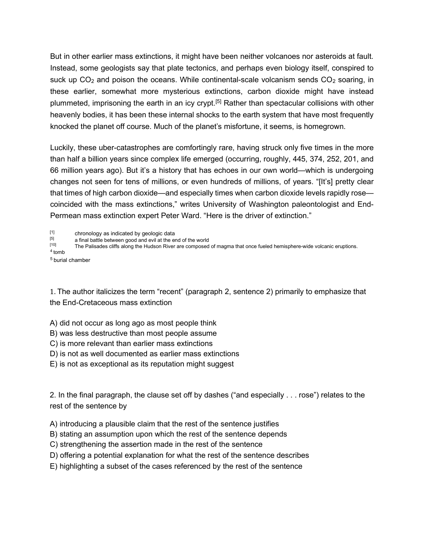But in other earlier mass extinctions, it might have been neither volcanoes nor asteroids at fault. Instead, some geologists say that plate tectonics, and perhaps even biology itself, conspired to suck up  $CO<sub>2</sub>$  and poison the oceans. While continental-scale volcanism sends  $CO<sub>2</sub>$  soaring, in these earlier, somewhat more mysterious extinctions, carbon dioxide might have instead plummeted, imprisoning the earth in an icy crypt.<sup>[5]</sup> Rather than spectacular collisions with other heavenly bodies, it has been these internal shocks to the earth system that have most frequently knocked the planet off course. Much of the planet's misfortune, it seems, is homegrown.

Luckily, these uber-catastrophes are comfortingly rare, having struck only five times in the more than half a billion years since complex life emerged (occurring, roughly, 445, 374, 252, 201, and 66 million years ago). But it's a history that has echoes in our own world—which is undergoing changes not seen for tens of millions, or even hundreds of millions, of years. "[It's] pretty clear that times of high carbon dioxide—and especially times when carbon dioxide levels rapidly rose coincided with the mass extinctions," writes University of Washington paleontologist and End-Permean mass extinction expert Peter Ward. "Here is the driver of extinction."

 $\begin{bmatrix} 11 \\ 15 \end{bmatrix}$  chronology as indicated by geologic data

 $\begin{bmatrix} 5 \end{bmatrix}$  a final battle between good and evil at the end of the world<br> $\begin{bmatrix} 10 \end{bmatrix}$  The Palisades cliffs along the Hudson River are composed

The Palisades cliffs along the Hudson River are composed of magma that once fueled hemisphere-wide volcanic eruptions.

 $4$  tomb

 $5$  burial chamber

1. The author italicizes the term "recent" (paragraph 2, sentence 2) primarily to emphasize that the End-Cretaceous mass extinction

A) did not occur as long ago as most people think

B) was less destructive than most people assume

C) is more relevant than earlier mass extinctions

D) is not as well documented as earlier mass extinctions

E) is not as exceptional as its reputation might suggest

2. In the final paragraph, the clause set off by dashes ("and especially . . . rose") relates to the rest of the sentence by

A) introducing a plausible claim that the rest of the sentence justifies

B) stating an assumption upon which the rest of the sentence depends

C) strengthening the assertion made in the rest of the sentence

D) offering a potential explanation for what the rest of the sentence describes

E) highlighting a subset of the cases referenced by the rest of the sentence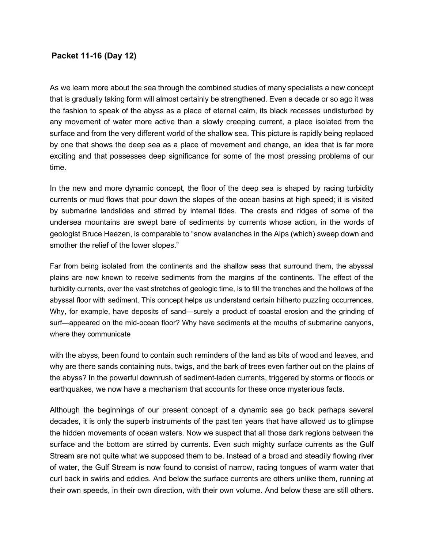## Packet 11-16 (Day 12)

As we learn more about the sea through the combined studies of many specialists a new concept that is gradually taking form will almost certainly be strengthened. Even a decade or so ago it was the fashion to speak of the abyss as a place of eternal calm, its black recesses undisturbed by any movement of water more active than a slowly creeping current, a place isolated from the surface and from the very different world of the shallow sea. This picture is rapidly being replaced by one that shows the deep sea as a place of movement and change, an idea that is far more exciting and that possesses deep significance for some of the most pressing problems of our time.

In the new and more dynamic concept, the floor of the deep sea is shaped by racing turbidity currents or mud flows that pour down the slopes of the ocean basins at high speed; it is visited by submarine landslides and stirred by internal tides. The crests and ridges of some of the undersea mountains are swept bare of sediments by currents whose action, in the words of geologist Bruce Heezen, is comparable to "snow avalanches in the Alps (which) sweep down and smother the relief of the lower slopes."

Far from being isolated from the continents and the shallow seas that surround them, the abyssal plains are now known to receive sediments from the margins of the continents. The effect of the turbidity currents, over the vast stretches of geologic time, is to fill the trenches and the hollows of the abyssal floor with sediment. This concept helps us understand certain hitherto puzzling occurrences. Why, for example, have deposits of sand—surely a product of coastal erosion and the grinding of surf—appeared on the mid-ocean floor? Why have sediments at the mouths of submarine canyons, where they communicate

with the abyss, been found to contain such reminders of the land as bits of wood and leaves, and why are there sands containing nuts, twigs, and the bark of trees even farther out on the plains of the abyss? In the powerful downrush of sediment-laden currents, triggered by storms or floods or earthquakes, we now have a mechanism that accounts for these once mysterious facts.

Although the beginnings of our present concept of a dynamic sea go back perhaps several decades, it is only the superb instruments of the past ten years that have allowed us to glimpse the hidden movements of ocean waters. Now we suspect that all those dark regions between the surface and the bottom are stirred by currents. Even such mighty surface currents as the Gulf Stream are not quite what we supposed them to be. Instead of a broad and steadily flowing river of water, the Gulf Stream is now found to consist of narrow, racing tongues of warm water that curl back in swirls and eddies. And below the surface currents are others unlike them, running at their own speeds, in their own direction, with their own volume. And below these are still others.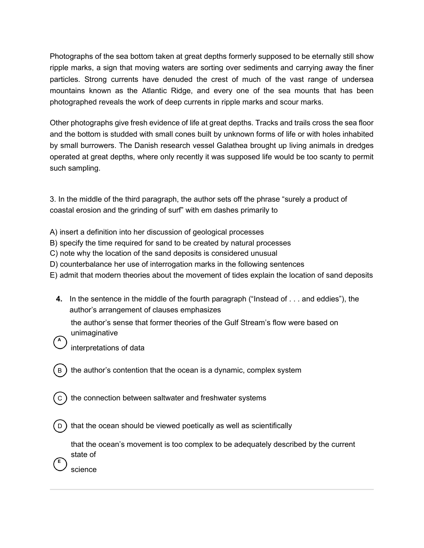Photographs of the sea bottom taken at great depths formerly supposed to be eternally still show ripple marks, a sign that moving waters are sorting over sediments and carrying away the finer particles. Strong currents have denuded the crest of much of the vast range of undersea mountains known as the Atlantic Ridge, and every one of the sea mounts that has been photographed reveals the work of deep currents in ripple marks and scour marks.

Other photographs give fresh evidence of life at great depths. Tracks and trails cross the sea floor and the bottom is studded with small cones built by unknown forms of life or with holes inhabited by small burrowers. The Danish research vessel Galathea brought up living animals in dredges operated at great depths, where only recently it was supposed life would be too scanty to permit such sampling.

3. In the middle of the third paragraph, the author sets off the phrase "surely a product of coastal erosion and the grinding of surf" with em dashes primarily to

- A) insert a definition into her discussion of geological processes
- B) specify the time required for sand to be created by natural processes
- C) note why the location of the sand deposits is considered unusual
- D) counterbalance her use of interrogation marks in the following sentences
- E) admit that modern theories about the movement of tides explain the location of sand deposits
	- 4. In the sentence in the middle of the fourth paragraph ("Instead of . . . and eddies"), the author's arrangement of clauses emphasizes

the author's sense that former theories of the Gulf Stream's flow were based on unimaginative

- A interpretations of data
- ) the author's contention that the ocean is a dynamic, complex system
- C) the connection between saltwater and freshwater systems

D) that the ocean should be viewed poetically as well as scientifically

that the ocean's movement is too complex to be adequately described by the current state of

science

E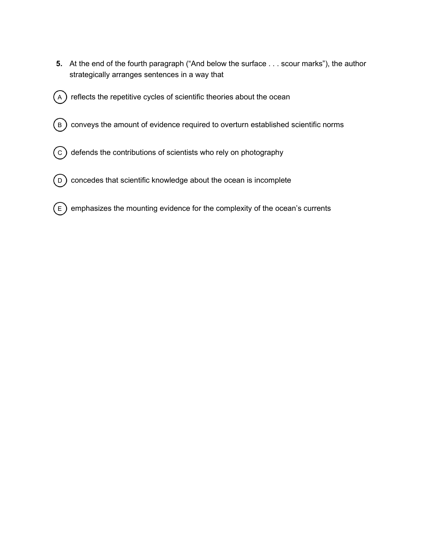- 5. At the end of the fourth paragraph ("And below the surface . . . scour marks"), the author strategically arranges sentences in a way that
- $\left(\begin{smallmatrix}A\end{smallmatrix}\right)$  reflects the repetitive cycles of scientific theories about the ocean
- $\left(\overline{\texttt{B}}\right)$  conveys the amount of evidence required to overturn established scientific norms
- $(\mathrm{c})$  defends the contributions of scientists who rely on photography
- $\bigcirc$   $\bigcirc$  concedes that scientific knowledge about the ocean is incomplete
- $\epsilon$ ) emphasizes the mounting evidence for the complexity of the ocean's currents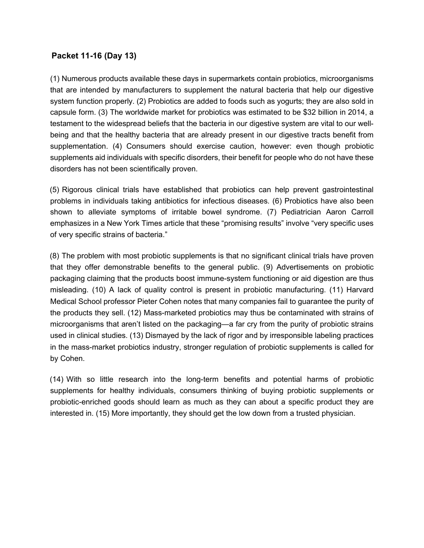# Packet 11-16 (Day 13)

(1) Numerous products available these days in supermarkets contain probiotics, microorganisms that are intended by manufacturers to supplement the natural bacteria that help our digestive system function properly. (2) Probiotics are added to foods such as yogurts; they are also sold in capsule form. (3) The worldwide market for probiotics was estimated to be \$32 billion in 2014, a testament to the widespread beliefs that the bacteria in our digestive system are vital to our wellbeing and that the healthy bacteria that are already present in our digestive tracts benefit from supplementation. (4) Consumers should exercise caution, however: even though probiotic supplements aid individuals with specific disorders, their benefit for people who do not have these disorders has not been scientifically proven.

(5) Rigorous clinical trials have established that probiotics can help prevent gastrointestinal problems in individuals taking antibiotics for infectious diseases. (6) Probiotics have also been shown to alleviate symptoms of irritable bowel syndrome. (7) Pediatrician Aaron Carroll emphasizes in a New York Times article that these "promising results" involve "very specific uses of very specific strains of bacteria."

(8) The problem with most probiotic supplements is that no significant clinical trials have proven that they offer demonstrable benefits to the general public. (9) Advertisements on probiotic packaging claiming that the products boost immune-system functioning or aid digestion are thus misleading. (10) A lack of quality control is present in probiotic manufacturing. (11) Harvard Medical School professor Pieter Cohen notes that many companies fail to guarantee the purity of the products they sell. (12) Mass-marketed probiotics may thus be contaminated with strains of microorganisms that aren't listed on the packaging—a far cry from the purity of probiotic strains used in clinical studies. (13) Dismayed by the lack of rigor and by irresponsible labeling practices in the mass-market probiotics industry, stronger regulation of probiotic supplements is called for by Cohen.

(14) With so little research into the long-term benefits and potential harms of probiotic supplements for healthy individuals, consumers thinking of buying probiotic supplements or probiotic-enriched goods should learn as much as they can about a specific product they are interested in. (15) More importantly, they should get the low down from a trusted physician.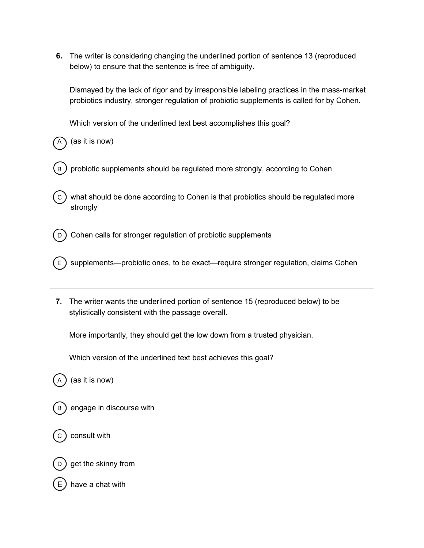6. The writer is considering changing the underlined portion of sentence 13 (reproduced below) to ensure that the sentence is free of ambiguity.

Dismayed by the lack of rigor and by irresponsible labeling practices in the mass-market probiotics industry, stronger regulation of probiotic supplements is called for by Cohen.

Which version of the underlined text best accomplishes this goal?

 $(as it is now)$ 

- $B$  probiotic supplements should be regulated more strongly, according to Cohen
- $\sigma$ ) what should be done according to Cohen is that probiotics should be regulated more strongly
- $(D)$  Cohen calls for stronger regulation of probiotic supplements
- $\mathsf{E} \setminus \mathsf{E}$  supplements—probiotic ones, to be exact—require stronger regulation, claims Cohen
- 7. The writer wants the underlined portion of sentence 15 (reproduced below) to be stylistically consistent with the passage overall.

More importantly, they should get the low down from a trusted physician.

Which version of the underlined text best achieves this goal?

 $(as it is now)$ 



consult with

get the skinny from

have a chat with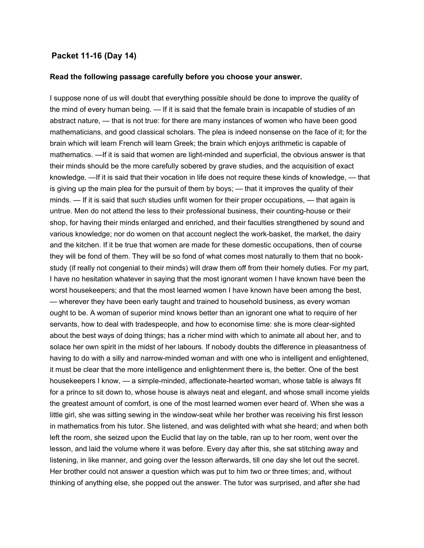### Packet 11-16 (Day 14)

#### Read the following passage carefully before you choose your answer.

I suppose none of us will doubt that everything possible should be done to improve the quality of the mind of every human being. — If it is said that the female brain is incapable of studies of an abstract nature, — that is not true: for there are many instances of women who have been good mathematicians, and good classical scholars. The plea is indeed nonsense on the face of it; for the brain which will learn French will learn Greek; the brain which enjoys arithmetic is capable of mathematics. —If it is said that women are light-minded and superficial, the obvious answer is that their minds should be the more carefully sobered by grave studies, and the acquisition of exact knowledge. —If it is said that their vocation in life does not require these kinds of knowledge, — that is giving up the main plea for the pursuit of them by boys; — that it improves the quality of their minds. — If it is said that such studies unfit women for their proper occupations, — that again is untrue. Men do not attend the less to their professional business, their counting-house or their shop, for having their minds enlarged and enriched, and their faculties strengthened by sound and various knowledge; nor do women on that account neglect the work-basket, the market, the dairy and the kitchen. If it be true that women are made for these domestic occupations, then of course they will be fond of them. They will be so fond of what comes most naturally to them that no bookstudy (if really not congenial to their minds) will draw them off from their homely duties. For my part, I have no hesitation whatever in saying that the most ignorant women I have known have been the worst housekeepers; and that the most learned women I have known have been among the best, — wherever they have been early taught and trained to household business, as every woman ought to be. A woman of superior mind knows better than an ignorant one what to require of her servants, how to deal with tradespeople, and how to economise time: she is more clear-sighted about the best ways of doing things; has a richer mind with which to animate all about her, and to solace her own spirit in the midst of her labours. If nobody doubts the difference in pleasantness of having to do with a silly and narrow-minded woman and with one who is intelligent and enlightened, it must be clear that the more intelligence and enlightenment there is, the better. One of the best housekeepers I know, — a simple-minded, affectionate-hearted woman, whose table is always fit for a prince to sit down to, whose house is always neat and elegant, and whose small income yields the greatest amount of comfort, is one of the most learned women ever heard of. When she was a little girl, she was sitting sewing in the window-seat while her brother was receiving his first lesson in mathematics from his tutor. She listened, and was delighted with what she heard; and when both left the room, she seized upon the Euclid that lay on the table, ran up to her room, went over the lesson, and laid the volume where it was before. Every day after this, she sat stitching away and listening, in like manner, and going over the lesson afterwards, till one day she let out the secret. Her brother could not answer a question which was put to him two or three times; and, without thinking of anything else, she popped out the answer. The tutor was surprised, and after she had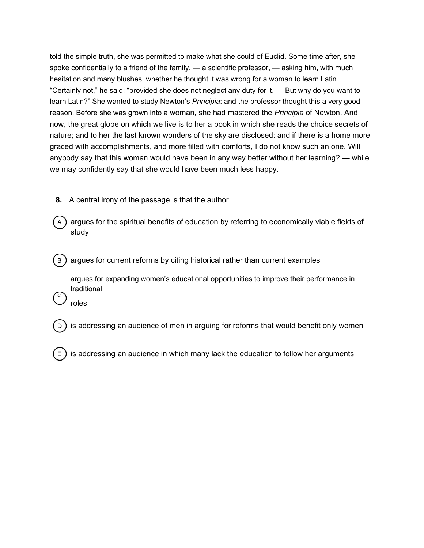told the simple truth, she was permitted to make what she could of Euclid. Some time after, she spoke confidentially to a friend of the family, — a scientific professor, — asking him, with much hesitation and many blushes, whether he thought it was wrong for a woman to learn Latin. "Certainly not," he said; "provided she does not neglect any duty for it. — But why do you want to learn Latin?" She wanted to study Newton's Principia: and the professor thought this a very good reason. Before she was grown into a woman, she had mastered the *Principia* of Newton. And now, the great globe on which we live is to her a book in which she reads the choice secrets of nature; and to her the last known wonders of the sky are disclosed: and if there is a home more graced with accomplishments, and more filled with comforts, I do not know such an one. Will anybody say that this woman would have been in any way better without her learning? — while we may confidently say that she would have been much less happy.

- 8. A central irony of the passage is that the author
- $(A)$  argues for the spiritual benefits of education by referring to economically viable fields of study
- $(B)$  argues for current reforms by citing historical rather than current examples

argues for expanding women's educational opportunities to improve their performance in traditional

roles

C

- is addressing an audience of men in arguing for reforms that would benefit only women
- is addressing an audience in which many lack the education to follow her arguments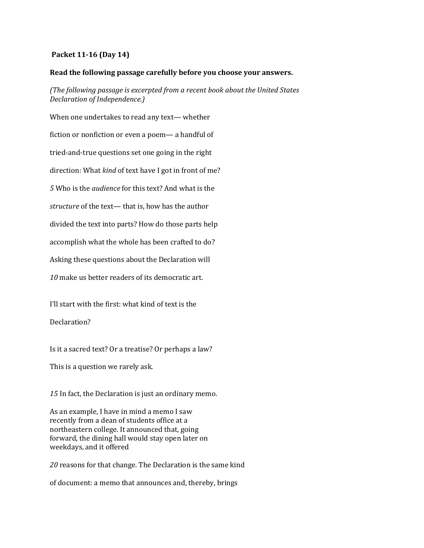### Packet 11-16 (Day 14)

### Read the following passage carefully before you choose your answers.

(The following passage is excerpted from a recent book about the United States Declaration of Independence.)

When one undertakes to read any text— whether fiction or nonfiction or even a poem— a handful of tried-and-true questions set one going in the right direction: What kind of text have I got in front of me? 5 Who is the audience for this text? And what is the structure of the text— that is, how has the author divided the text into parts? How do those parts help accomplish what the whole has been crafted to do? Asking these questions about the Declaration will 10 make us better readers of its democratic art.

I'll start with the first: what kind of text is the

Declaration?

Is it a sacred text? Or a treatise? Or perhaps a law?

This is a question we rarely ask.

15 In fact, the Declaration is just an ordinary memo.

As an example, I have in mind a memo I saw recently from a dean of students office at a northeastern college. It announced that, going forward, the dining hall would stay open later on weekdays, and it offered

20 reasons for that change. The Declaration is the same kind

of document: a memo that announces and, thereby, brings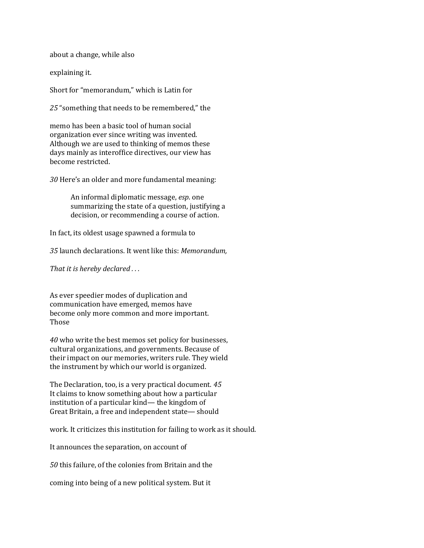about a change, while also

explaining it.

Short for "memorandum," which is Latin for

25 "something that needs to be remembered," the

memo has been a basic tool of human social organization ever since writing was invented. Although we are used to thinking of memos these days mainly as interoffice directives, our view has become restricted.

30 Here's an older and more fundamental meaning:

An informal diplomatic message, esp. one summarizing the state of a question, justifying a decision, or recommending a course of action.

In fact, its oldest usage spawned a formula to

35 launch declarations. It went like this: Memorandum,

That it is hereby declared ...

As ever speedier modes of duplication and communication have emerged, memos have become only more common and more important. Those

40 who write the best memos set policy for businesses, cultural organizations, and governments. Because of their impact on our memories, writers rule. They wield the instrument by which our world is organized.

The Declaration, too, is a very practical document. 45 It claims to know something about how a particular institution of a particular kind— the kingdom of Great Britain, a free and independent state— should

work. It criticizes this institution for failing to work as it should.

It announces the separation, on account of

50 this failure, of the colonies from Britain and the

coming into being of a new political system. But it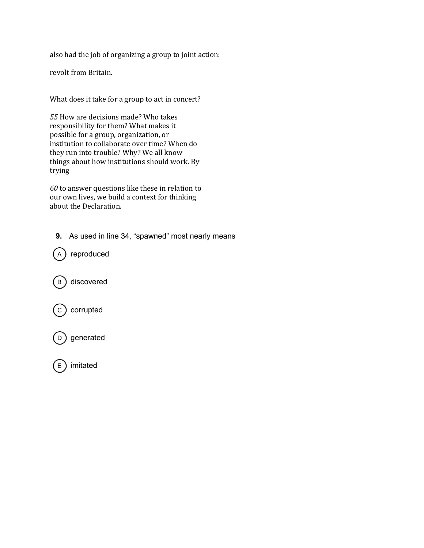also had the job of organizing a group to joint action:

revolt from Britain.

What does it take for a group to act in concert?

55 How are decisions made? Who takes responsibility for them? What makes it possible for a group, organization, or institution to collaborate over time? When do they run into trouble? Why? We all know things about how institutions should work. By trying

 $60$  to answer questions like these in relation to our own lives, we build a context for thinking about the Declaration.

9. As used in line 34, "spawned" most nearly means

 $(A)$  reproduced

B) discovered



 $\left( \mathrm{\scriptstyle D} \right)$  generated

 $\epsilon$  imitated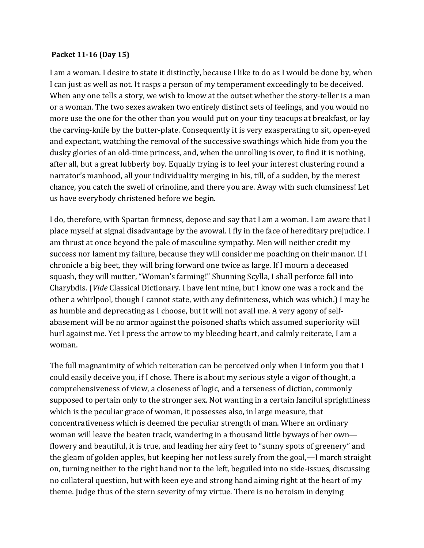### Packet 11-16 (Day 15)

I am a woman. I desire to state it distinctly, because I like to do as I would be done by, when I can just as well as not. It rasps a person of my temperament exceedingly to be deceived. When any one tells a story, we wish to know at the outset whether the story-teller is a man or a woman. The two sexes awaken two entirely distinct sets of feelings, and you would no more use the one for the other than you would put on your tiny teacups at breakfast, or lay the carving-knife by the butter-plate. Consequently it is very exasperating to sit, open-eyed and expectant, watching the removal of the successive swathings which hide from you the dusky glories of an old-time princess, and, when the unrolling is over, to find it is nothing, after all, but a great lubberly boy. Equally trying is to feel your interest clustering round a narrator's manhood, all your individuality merging in his, till, of a sudden, by the merest chance, you catch the swell of crinoline, and there you are. Away with such clumsiness! Let us have everybody christened before we begin.

I do, therefore, with Spartan firmness, depose and say that I am a woman. I am aware that I place myself at signal disadvantage by the avowal. I fly in the face of hereditary prejudice. I am thrust at once beyond the pale of masculine sympathy. Men will neither credit my success nor lament my failure, because they will consider me poaching on their manor. If I chronicle a big beet, they will bring forward one twice as large. If I mourn a deceased squash, they will mutter, "Woman's farming!" Shunning Scylla, I shall perforce fall into Charybdis. (Vide Classical Dictionary. I have lent mine, but I know one was a rock and the other a whirlpool, though I cannot state, with any definiteness, which was which.) I may be as humble and deprecating as I choose, but it will not avail me. A very agony of selfabasement will be no armor against the poisoned shafts which assumed superiority will hurl against me. Yet I press the arrow to my bleeding heart, and calmly reiterate, I am a woman.

The full magnanimity of which reiteration can be perceived only when I inform you that I could easily deceive you, if I chose. There is about my serious style a vigor of thought, a comprehensiveness of view, a closeness of logic, and a terseness of diction, commonly supposed to pertain only to the stronger sex. Not wanting in a certain fanciful sprightliness which is the peculiar grace of woman, it possesses also, in large measure, that concentrativeness which is deemed the peculiar strength of man. Where an ordinary woman will leave the beaten track, wandering in a thousand little byways of her own flowery and beautiful, it is true, and leading her airy feet to "sunny spots of greenery" and the gleam of golden apples, but keeping her not less surely from the goal,—I march straight on, turning neither to the right hand nor to the left, beguiled into no side-issues, discussing no collateral question, but with keen eye and strong hand aiming right at the heart of my theme. Judge thus of the stern severity of my virtue. There is no heroism in denying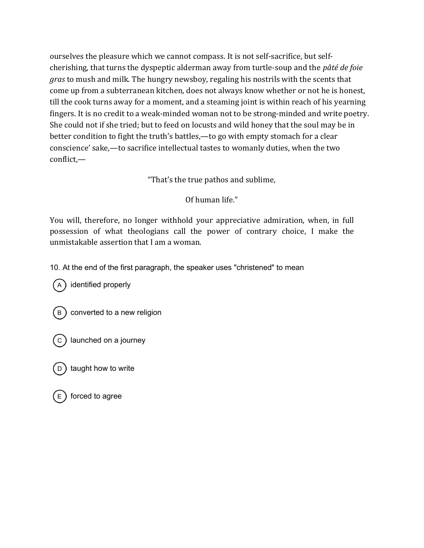ourselves the pleasure which we cannot compass. It is not self-sacrifice, but selfcherishing, that turns the dyspeptic alderman away from turtle-soup and the pâté de foie gras to mush and milk. The hungry newsboy, regaling his nostrils with the scents that come up from a subterranean kitchen, does not always know whether or not he is honest, till the cook turns away for a moment, and a steaming joint is within reach of his yearning fingers. It is no credit to a weak-minded woman not to be strong-minded and write poetry. She could not if she tried; but to feed on locusts and wild honey that the soul may be in better condition to fight the truth's battles,—to go with empty stomach for a clear conscience' sake,—to sacrifice intellectual tastes to womanly duties, when the two conflict,—

"That's the true pathos and sublime,

Of human life."

You will, therefore, no longer withhold your appreciative admiration, when, in full possession of what theologians call the power of contrary choice, I make the unmistakable assertion that I am a woman.

10. At the end of the first paragraph, the speaker uses "christened" to mean

(A) identified properly



converted to a new religion

 $(c)$  launched on a journey

taught how to write

forced to agree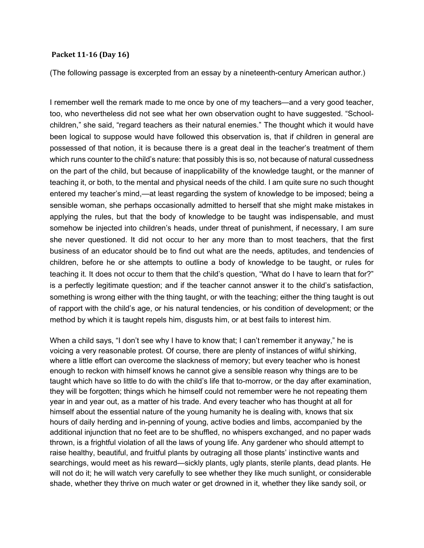#### Packet 11-16 (Day 16)

(The following passage is excerpted from an essay by a nineteenth-century American author.)

I remember well the remark made to me once by one of my teachers—and a very good teacher, too, who nevertheless did not see what her own observation ought to have suggested. "Schoolchildren," she said, "regard teachers as their natural enemies." The thought which it would have been logical to suppose would have followed this observation is, that if children in general are possessed of that notion, it is because there is a great deal in the teacher's treatment of them which runs counter to the child's nature: that possibly this is so, not because of natural cussedness on the part of the child, but because of inapplicability of the knowledge taught, or the manner of teaching it, or both, to the mental and physical needs of the child. I am quite sure no such thought entered my teacher's mind,—at least regarding the system of knowledge to be imposed; being a sensible woman, she perhaps occasionally admitted to herself that she might make mistakes in applying the rules, but that the body of knowledge to be taught was indispensable, and must somehow be injected into children's heads, under threat of punishment, if necessary, I am sure she never questioned. It did not occur to her any more than to most teachers, that the first business of an educator should be to find out what are the needs, aptitudes, and tendencies of children, before he or she attempts to outline a body of knowledge to be taught, or rules for teaching it. It does not occur to them that the child's question, "What do I have to learn that for?" is a perfectly legitimate question; and if the teacher cannot answer it to the child's satisfaction, something is wrong either with the thing taught, or with the teaching; either the thing taught is out of rapport with the child's age, or his natural tendencies, or his condition of development; or the method by which it is taught repels him, disgusts him, or at best fails to interest him.

When a child says, "I don't see why I have to know that; I can't remember it anyway," he is voicing a very reasonable protest. Of course, there are plenty of instances of wilful shirking, where a little effort can overcome the slackness of memory; but every teacher who is honest enough to reckon with himself knows he cannot give a sensible reason why things are to be taught which have so little to do with the child's life that to-morrow, or the day after examination, they will be forgotten; things which he himself could not remember were he not repeating them year in and year out, as a matter of his trade. And every teacher who has thought at all for himself about the essential nature of the young humanity he is dealing with, knows that six hours of daily herding and in-penning of young, active bodies and limbs, accompanied by the additional injunction that no feet are to be shuffled, no whispers exchanged, and no paper wads thrown, is a frightful violation of all the laws of young life. Any gardener who should attempt to raise healthy, beautiful, and fruitful plants by outraging all those plants' instinctive wants and searchings, would meet as his reward—sickly plants, ugly plants, sterile plants, dead plants. He will not do it; he will watch very carefully to see whether they like much sunlight, or considerable shade, whether they thrive on much water or get drowned in it, whether they like sandy soil, or